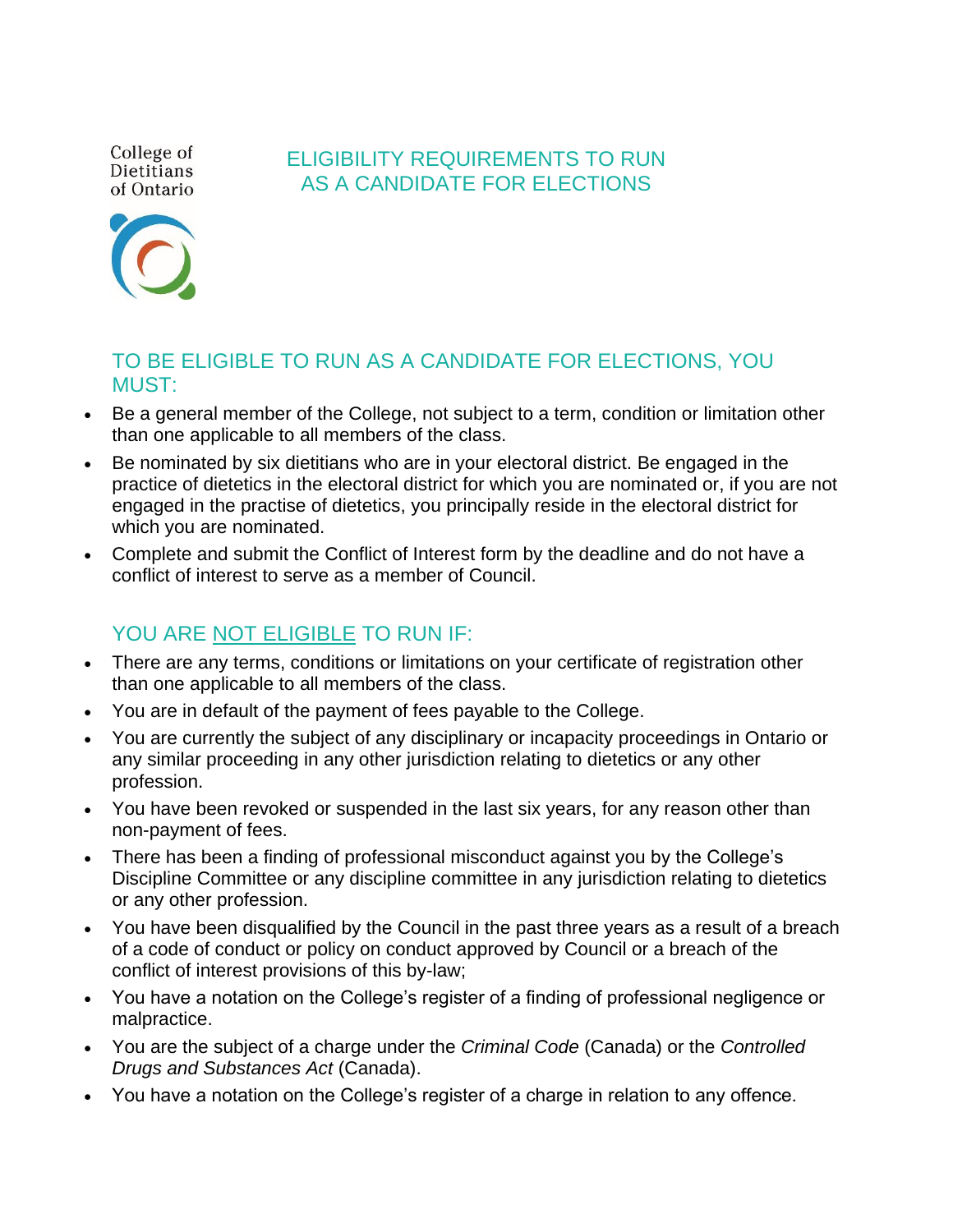College of Dietitians of Ontario

## ELIGIBILITY REQUIREMENTS TO RUN AS A CANDIDATE FOR ELECTIONS

## TO BE ELIGIBLE TO RUN AS A CANDIDATE FOR ELECTIONS, YOU MUST:

- Be a general member of the College, not subject to a term, condition or limitation other than one applicable to all members of the class.
- Be nominated by six dietitians who are in your electoral district. Be engaged in the practice of dietetics in the electoral district for which you are nominated or, if you are not engaged in the practise of dietetics, you principally reside in the electoral district for which you are nominated.
- Complete and submit the Conflict of Interest form by the deadline and do not have a conflict of interest to serve as a member of Council.

## YOU ARE NOT ELIGIBLE TO RUN IF:

- There are any terms, conditions or limitations on your certificate of registration other than one applicable to all members of the class.
- You are in default of the payment of fees payable to the College.
- You are currently the subject of any disciplinary or incapacity proceedings in Ontario or any similar proceeding in any other jurisdiction relating to dietetics or any other profession.
- You have been revoked or suspended in the last six years, for any reason other than non-payment of fees.
- There has been a finding of professional misconduct against you by the College's Discipline Committee or any discipline committee in any jurisdiction relating to dietetics or any other profession.
- You have been disqualified by the Council in the past three years as a result of a breach of a code of conduct or policy on conduct approved by Council or a breach of the conflict of interest provisions of this by-law;
- You have a notation on the College's register of a finding of professional negligence or malpractice.
- You are the subject of a charge under the *Criminal Code* (Canada) or the *Controlled Drugs and Substances Act* (Canada).
- You have a notation on the College's register of a charge in relation to any offence.